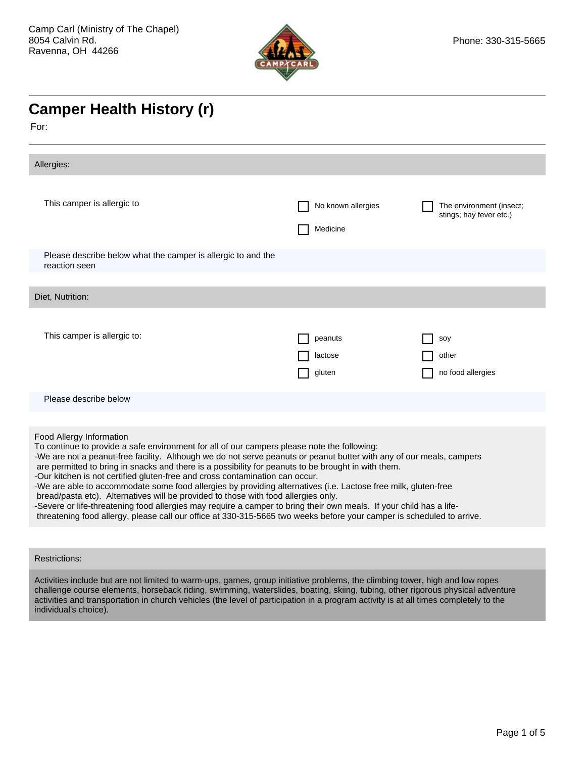

## **Camper Health History (r)**

For:

| No known allergies<br>Medicine                                                                                                                                                                                                                                                                                                                                                                                                                                                                                                                                                                                                                                                                                                                                                                                                                                                                 | The environment (insect;<br>stings; hay fever etc.) |  |  |
|------------------------------------------------------------------------------------------------------------------------------------------------------------------------------------------------------------------------------------------------------------------------------------------------------------------------------------------------------------------------------------------------------------------------------------------------------------------------------------------------------------------------------------------------------------------------------------------------------------------------------------------------------------------------------------------------------------------------------------------------------------------------------------------------------------------------------------------------------------------------------------------------|-----------------------------------------------------|--|--|
|                                                                                                                                                                                                                                                                                                                                                                                                                                                                                                                                                                                                                                                                                                                                                                                                                                                                                                |                                                     |  |  |
|                                                                                                                                                                                                                                                                                                                                                                                                                                                                                                                                                                                                                                                                                                                                                                                                                                                                                                |                                                     |  |  |
| peanuts<br>lactose<br>gluten                                                                                                                                                                                                                                                                                                                                                                                                                                                                                                                                                                                                                                                                                                                                                                                                                                                                   | soy<br>other<br>no food allergies                   |  |  |
|                                                                                                                                                                                                                                                                                                                                                                                                                                                                                                                                                                                                                                                                                                                                                                                                                                                                                                |                                                     |  |  |
| Food Allergy Information<br>To continue to provide a safe environment for all of our campers please note the following:<br>-We are not a peanut-free facility. Although we do not serve peanuts or peanut butter with any of our meals, campers<br>are permitted to bring in snacks and there is a possibility for peanuts to be brought in with them.<br>-Our kitchen is not certified gluten-free and cross contamination can occur.<br>-We are able to accommodate some food allergies by providing alternatives (i.e. Lactose free milk, gluten-free<br>bread/pasta etc). Alternatives will be provided to those with food allergies only.<br>-Severe or life-threatening food allergies may require a camper to bring their own meals. If your child has a life-<br>threatening food allergy, please call our office at 330-315-5665 two weeks before your camper is scheduled to arrive. |                                                     |  |  |
|                                                                                                                                                                                                                                                                                                                                                                                                                                                                                                                                                                                                                                                                                                                                                                                                                                                                                                |                                                     |  |  |

## Restrictions:

Activities include but are not limited to warm-ups, games, group initiative problems, the climbing tower, high and low ropes challenge course elements, horseback riding, swimming, waterslides, boating, skiing, tubing, other rigorous physical adventure activities and transportation in church vehicles (the level of participation in a program activity is at all times completely to the individual's choice).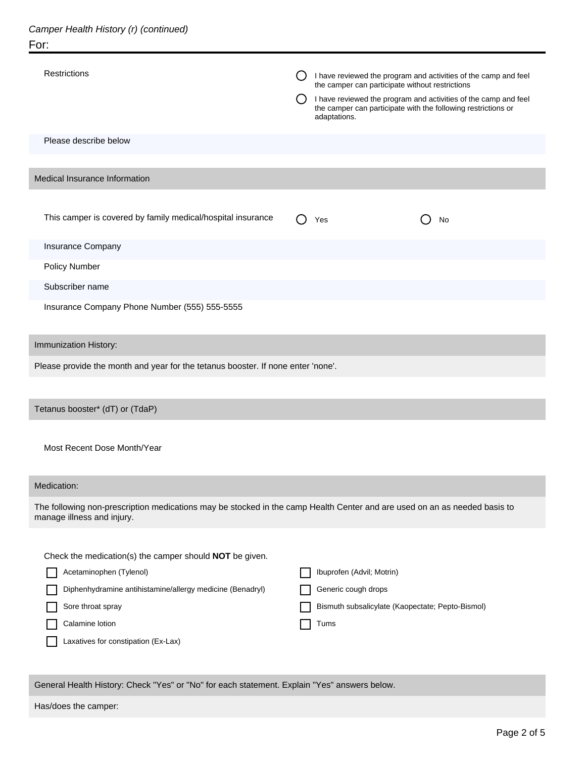| <b>Restrictions</b>                                                                                                                                                                                                            | I have reviewed the program and activities of the camp and feel<br>the camper can participate without restrictions<br>I have reviewed the program and activities of the camp and feel<br>the camper can participate with the following restrictions or<br>adaptations. |  |  |  |
|--------------------------------------------------------------------------------------------------------------------------------------------------------------------------------------------------------------------------------|------------------------------------------------------------------------------------------------------------------------------------------------------------------------------------------------------------------------------------------------------------------------|--|--|--|
| Please describe below                                                                                                                                                                                                          |                                                                                                                                                                                                                                                                        |  |  |  |
| Medical Insurance Information                                                                                                                                                                                                  |                                                                                                                                                                                                                                                                        |  |  |  |
|                                                                                                                                                                                                                                |                                                                                                                                                                                                                                                                        |  |  |  |
| This camper is covered by family medical/hospital insurance                                                                                                                                                                    | Yes<br>No                                                                                                                                                                                                                                                              |  |  |  |
| <b>Insurance Company</b>                                                                                                                                                                                                       |                                                                                                                                                                                                                                                                        |  |  |  |
| Policy Number                                                                                                                                                                                                                  |                                                                                                                                                                                                                                                                        |  |  |  |
| Subscriber name                                                                                                                                                                                                                |                                                                                                                                                                                                                                                                        |  |  |  |
| Insurance Company Phone Number (555) 555-5555                                                                                                                                                                                  |                                                                                                                                                                                                                                                                        |  |  |  |
| Immunization History:                                                                                                                                                                                                          |                                                                                                                                                                                                                                                                        |  |  |  |
| Please provide the month and year for the tetanus booster. If none enter 'none'.                                                                                                                                               |                                                                                                                                                                                                                                                                        |  |  |  |
|                                                                                                                                                                                                                                |                                                                                                                                                                                                                                                                        |  |  |  |
| Tetanus booster* (dT) or (TdaP)                                                                                                                                                                                                |                                                                                                                                                                                                                                                                        |  |  |  |
| Most Recent Dose Month/Year                                                                                                                                                                                                    |                                                                                                                                                                                                                                                                        |  |  |  |
| Medication:                                                                                                                                                                                                                    |                                                                                                                                                                                                                                                                        |  |  |  |
| The following non-prescription medications may be stocked in the camp Health Center and are used on an as needed basis to<br>manage illness and injury.                                                                        |                                                                                                                                                                                                                                                                        |  |  |  |
| Check the medication(s) the camper should NOT be given.<br>Acetaminophen (Tylenol)<br>Diphenhydramine antihistamine/allergy medicine (Benadryl)<br>Sore throat spray<br>Calamine lotion<br>Laxatives for constipation (Ex-Lax) | Ibuprofen (Advil; Motrin)<br>Generic cough drops<br>Bismuth subsalicylate (Kaopectate; Pepto-Bismol)<br>Tums                                                                                                                                                           |  |  |  |

General Health History: Check "Yes" or "No" for each statement. Explain "Yes" answers below.

Has/does the camper: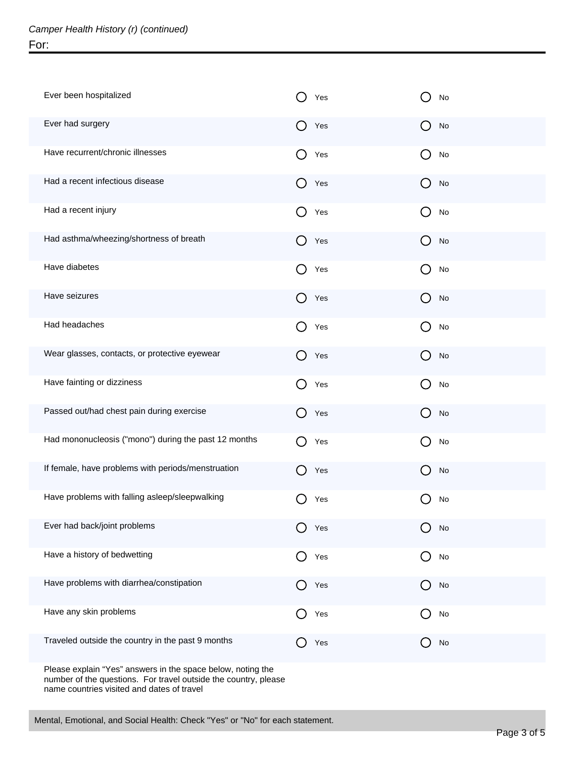| Ever been hospitalized                               | Yes                                                  | No                                                  |
|------------------------------------------------------|------------------------------------------------------|-----------------------------------------------------|
| Ever had surgery                                     | $\Box$<br>Yes                                        | $\Box$<br>No                                        |
| Have recurrent/chronic illnesses                     | ( )<br>Yes                                           | ( )<br>No                                           |
| Had a recent infectious disease                      | ( )<br>Yes                                           | $\left( \begin{array}{c} \end{array} \right)$<br>No |
| Had a recent injury                                  | ( )<br>Yes                                           | ( )<br>No                                           |
| Had asthma/wheezing/shortness of breath              | $\Box$<br>Yes                                        | $\left( \begin{array}{c} \end{array} \right)$<br>No |
| Have diabetes                                        | ( )<br>Yes                                           | ( )<br>No                                           |
| Have seizures                                        | $\Box$<br>Yes                                        | $\left( \begin{array}{c} \end{array} \right)$<br>No |
| Had headaches                                        | ( )<br>Yes                                           | ( )<br>No                                           |
| Wear glasses, contacts, or protective eyewear        | $\Box$<br>Yes                                        | $\left( \begin{array}{c} \end{array} \right)$<br>No |
| Have fainting or dizziness                           | ( )<br>Yes                                           | ( )<br>No                                           |
| Passed out/had chest pain during exercise            | $\mathbf{a}$<br>Yes                                  | $\left( \begin{array}{c} \end{array} \right)$<br>No |
| Had mononucleosis ("mono") during the past 12 months | $\left( \begin{array}{c} \end{array} \right)$<br>Yes | ( )<br>No                                           |
| If female, have problems with periods/menstruation   | Yes                                                  | No                                                  |
| Have problems with falling asleep/sleepwalking       | Yes                                                  | No                                                  |
| Ever had back/joint problems                         | Yes                                                  | No                                                  |
| Have a history of bedwetting                         | Yes                                                  | ( )<br>No                                           |
| Have problems with diarrhea/constipation             | Yes                                                  | $\operatorname{\mathsf{No}}$<br>$\Box$              |
| Have any skin problems                               | Yes                                                  | No                                                  |
| Traveled outside the country in the past 9 months    | Yes                                                  | $\operatorname{\mathsf{No}}$                        |
|                                                      |                                                      |                                                     |

Please explain "Yes" answers in the space below, noting the number of the questions. For travel outside the country, please name countries visited and dates of travel

Mental, Emotional, and Social Health: Check "Yes" or "No" for each statement.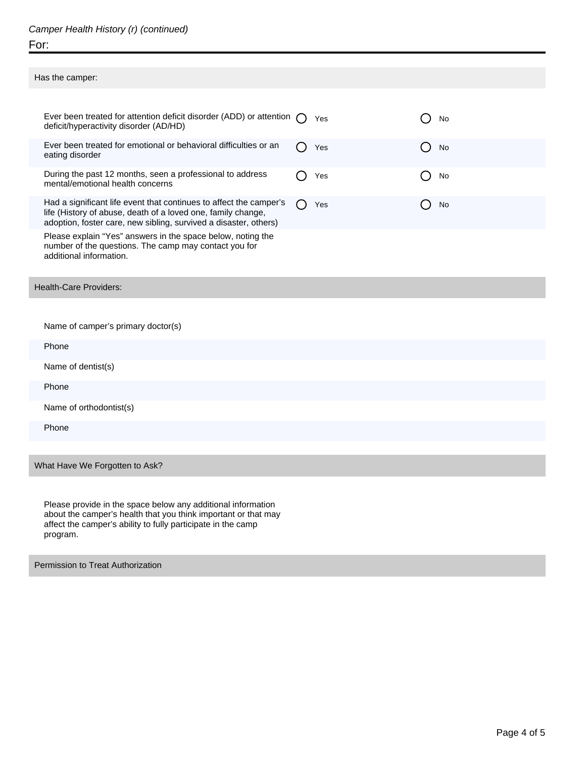## Camper Health History (r) (continued) For:

| Has the camper:                                                                                                                                                                                        |               |    |
|--------------------------------------------------------------------------------------------------------------------------------------------------------------------------------------------------------|---------------|----|
|                                                                                                                                                                                                        |               |    |
| Ever been treated for attention deficit disorder (ADD) or attention<br>deficit/hyperactivity disorder (AD/HD)                                                                                          | $(\ )$<br>Yes | No |
| Ever been treated for emotional or behavioral difficulties or an<br>eating disorder                                                                                                                    | Yes           | No |
| During the past 12 months, seen a professional to address<br>mental/emotional health concerns                                                                                                          | Yes           | No |
| Had a significant life event that continues to affect the camper's<br>life (History of abuse, death of a loved one, family change,<br>adoption, foster care, new sibling, survived a disaster, others) | Yes<br>( )    | No |
| Please explain "Yes" answers in the space below, noting the<br>number of the questions. The camp may contact you for<br>additional information.                                                        |               |    |
| <b>Health-Care Providers:</b>                                                                                                                                                                          |               |    |
| Name of camper's primary doctor(s)                                                                                                                                                                     |               |    |
| Phone                                                                                                                                                                                                  |               |    |
| Name of dentist(s)                                                                                                                                                                                     |               |    |
| Phone                                                                                                                                                                                                  |               |    |
| Name of orthodontist(s)                                                                                                                                                                                |               |    |
| Phone                                                                                                                                                                                                  |               |    |
|                                                                                                                                                                                                        |               |    |

What Have We Forgotten to Ask?

I

Please provide in the space below any additional information about the camper's health that you think important or that may affect the camper's ability to fully participate in the camp program.

Permission to Treat Authorization